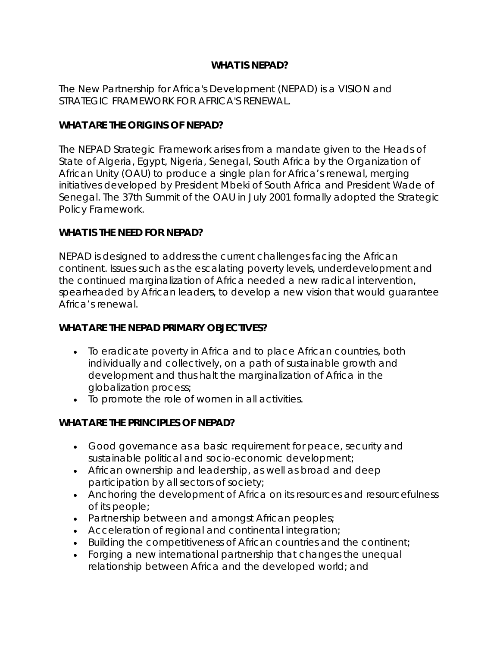# **WHAT IS NEPAD?**

The New Partnership for Africa's Development (NEPAD) is a VISION and STRATEGIC FRAMEWORK FOR AFRICA'S RENEWAL.

### **WHAT ARE THE ORIGINS OF NEPAD?**

The NEPAD Strategic Framework arises from a mandate given to the Heads of State of Algeria, Egypt, Nigeria, Senegal, South Africa by the Organization of African Unity (OAU) to produce a single plan for Africa's renewal, merging initiatives developed by President Mbeki of South Africa and President Wade of Senegal. The 37th Summit of the OAU in July 2001 formally adopted the Strategic Policy Framework.

## **WHAT IS THE NEED FOR NEPAD?**

NEPAD is designed to address the current challenges facing the African continent. Issues such as the escalating poverty levels, underdevelopment and the continued marginalization of Africa needed a new radical intervention, spearheaded by African leaders, to develop a new vision that would guarantee Africa's renewal.

## **WHAT ARE THE NEPAD PRIMARY OBJECTIVES?**

- To eradicate poverty in Africa and to place African countries, both individually and collectively, on a path of sustainable growth and development and thus halt the marginalization of Africa in the globalization process;
- To promote the role of women in all activities.

## **WHAT ARE THE PRINCIPLES OF NEPAD?**

- Good governance as a basic requirement for peace, security and sustainable political and socio-economic development;
- African ownership and leadership, as well as broad and deep participation by all sectors of society;
- Anchoring the development of Africa on its resources and resourcefulness of its people;
- Partnership between and amongst African peoples;
- Acceleration of regional and continental integration;
- Building the competitiveness of African countries and the continent;
- Forging a new international partnership that changes the unequal relationship between Africa and the developed world; and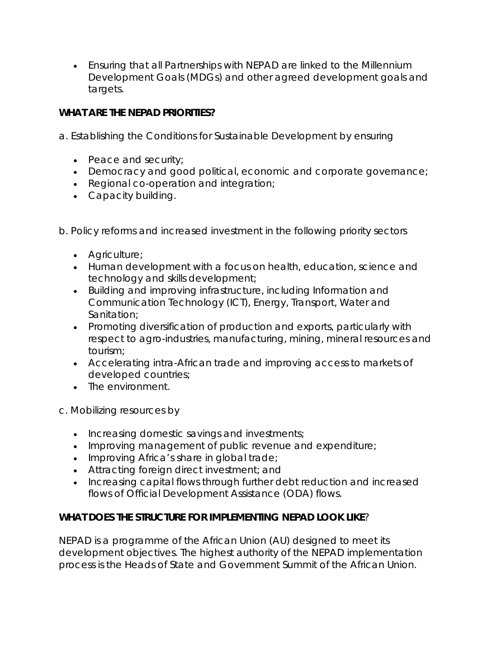• Ensuring that all Partnerships with NEPAD are linked to the Millennium Development Goals (MDGs) and other agreed development goals and targets.

# **WHAT ARE THE NEPAD PRIORITIES?**

a. Establishing the Conditions for Sustainable Development by ensuring

- Peace and security;
- Democracy and good political, economic and corporate governance;
- Regional co-operation and integration;
- Capacity building.

b. Policy reforms and increased investment in the following priority sectors

- Agriculture;
- Human development with a focus on health, education, science and technology and skills development;
- Building and improving infrastructure, including Information and Communication Technology (ICT), Energy, Transport, Water and Sanitation;
- Promoting diversification of production and exports, particularly with respect to agro-industries, manufacturing, mining, mineral resources and tourism;
- Accelerating intra-African trade and improving access to markets of developed countries;
- The environment.

c. Mobilizing resources by

- Increasing domestic savings and investments;
- Improving management of public revenue and expenditure;
- Improving Africa's share in global trade;
- Attracting foreign direct investment; and
- Increasing capital flows through further debt reduction and increased flows of Official Development Assistance (ODA) flows.

# **WHAT DOES THE STRUCTURE FOR IMPLEMENTING NEPAD LOOK LIKE**?

NEPAD is a programme of the African Union (AU) designed to meet its development objectives. The highest authority of the NEPAD implementation process is the Heads of State and Government Summit of the African Union.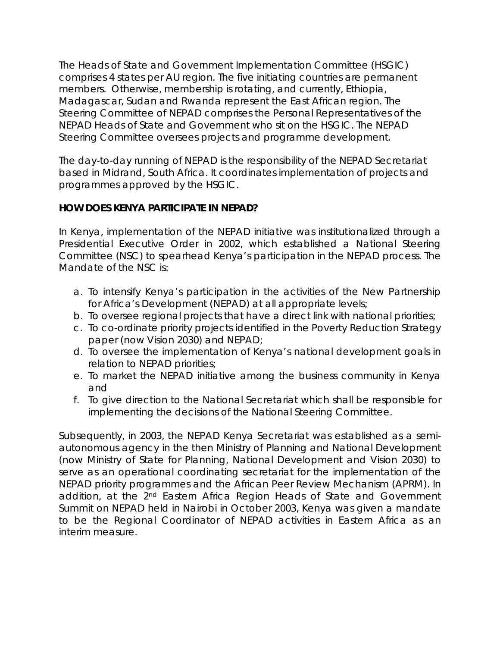The Heads of State and Government Implementation Committee (HSGIC) comprises 4 states per AU region. The five initiating countries are permanent members. Otherwise, membership is rotating, and currently, Ethiopia, Madagascar, Sudan and Rwanda represent the East African region. The Steering Committee of NEPAD comprises the Personal Representatives of the NEPAD Heads of State and Government who sit on the HSGIC. The NEPAD Steering Committee oversees projects and programme development.

The day-to-day running of NEPAD is the responsibility of the NEPAD Secretariat based in Midrand, South Africa. It coordinates implementation of projects and programmes approved by the HSGIC.

# **HOW DOES KENYA PARTICIPATE IN NEPAD?**

In Kenya, implementation of the NEPAD initiative was institutionalized through a Presidential Executive Order in 2002, which established a National Steering Committee (NSC) to spearhead Kenya's participation in the NEPAD process. The Mandate of the NSC is:

- a. To intensify Kenya's participation in the activities of the New Partnership for Africa's Development (NEPAD) at all appropriate levels;
- b. To oversee regional projects that have a direct link with national priorities;
- c. To co-ordinate priority projects identified in the Poverty Reduction Strategy paper (now Vision 2030) and NEPAD;
- d. To oversee the implementation of Kenya's national development goals in relation to NEPAD priorities;
- e. To market the NEPAD initiative among the business community in Kenya and
- f. To give direction to the National Secretariat which shall be responsible for implementing the decisions of the National Steering Committee.

Subsequently, in 2003, the NEPAD Kenya Secretariat was established as a semiautonomous agency in the then Ministry of Planning and National Development (now Ministry of State for Planning, National Development and Vision 2030) to serve as an operational coordinating secretariat for the implementation of the NEPAD priority programmes and the African Peer Review Mechanism (APRM). In addition, at the 2nd Eastern Africa Region Heads of State and Government Summit on NEPAD held in Nairobi in October 2003, Kenya was given a mandate to be the Regional Coordinator of NEPAD activities in Eastern Africa as an interim measure.